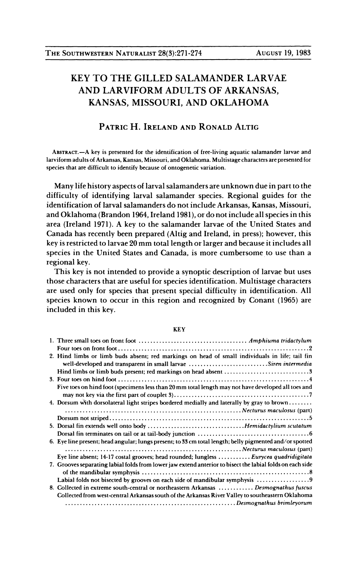## KEY TO THE GILLED SALAMANDER LARVAE AND LARVIFORM ADULTS OF ARKANSAS, KANSAS, MISSOURI, AND OKLAHOMA

## PATRIC H. IRELAND AND RONALD ALTIG

 ABSTRACT.-A key is presented for the identification of free-living aquatic salamander larvae and larviform adults of Arkansas, Kansas, Missouri, and Oklahoma. Multistage characters are presented for species that are difficult to identify because of ontogenetic variation.

 Many life history aspects of larval salamanders are unknown due in part to the difficulty of identifying larval salamander species. Regional guides for the identification of larval salamanders do not include Arkansas, Kansas, Missouri, and Oklahoma (Brandon 1964, Ireland 1981), or do not include all species in this area (Ireland 1971). A key to the salamander larvae of the United States and Canada has recently been prepared (Altig and Ireland, in press); however, this key is restricted to larvae 20 mm total length or larger and because it includes all species in the United States and Canada, is more cumbersome to use than a regional key.

 This key is not intended to provide a synoptic description of larvae but uses those characters that are useful for species identification. Multistage characters are used only for species that present special difficulty in identification. All species known to occur in this region and recognized by Conant (1965) are included in this key.

## KEY

| 2. Hind limbs or limb buds absent; red markings on head of small individuals in life; tail fin            |  |
|-----------------------------------------------------------------------------------------------------------|--|
| well-developed and transparent in small larvae Siren intermedia                                           |  |
|                                                                                                           |  |
|                                                                                                           |  |
| Five toes on hind foot (specimens less than 20 mm total length may not have developed all toes and        |  |
|                                                                                                           |  |
| 4. Dorsum with dorsolateral light stripes bordered medially and laterally by gray to brown                |  |
|                                                                                                           |  |
|                                                                                                           |  |
|                                                                                                           |  |
|                                                                                                           |  |
| 6. Eye line present; head angular; lungs present; to 33 cm total length; belly pigmented and/or spotted   |  |
|                                                                                                           |  |
| Eve line absent; 14-17 costal grooves; head rounded; lungless  Eurycea quadridigitata                     |  |
| 7. Grooves separating labial folds from lower jaw extend anterior to bisect the labial folds on each side |  |
|                                                                                                           |  |
| Labial folds not bisected by grooves on each side of mandibular symphysis                                 |  |
| 8. Collected in extreme south-central or northeastern Arkansas  Desmognathus fuscus                       |  |
| Collected from west-central Arkansas south of the Arkansas River Valley to southeastern Oklahoma          |  |
|                                                                                                           |  |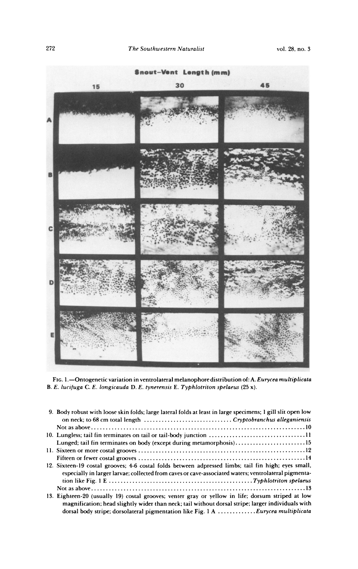

| 9. Body robust with loose skin folds; large lateral folds at least in large specimens; 1 gill slit open low |  |  |  |
|-------------------------------------------------------------------------------------------------------------|--|--|--|
| on neck; to 68 cm total length.<br>. Cryptobranchus alleganiensis                                           |  |  |  |
| Not as above                                                                                                |  |  |  |
| 10. Lungless; tail fin terminates on tail or tail-body junction .                                           |  |  |  |
| Lunged; tail fin terminates on body (except during metamorphosis)                                           |  |  |  |
| . Sixteen or more costal grooves.                                                                           |  |  |  |
| Fifteen or fewer costal grooves                                                                             |  |  |  |
| 12. Sixteen-19 costal grooves; 4-6 costal folds between adpressed limbs; tail fin high; eyes small,         |  |  |  |
| especially in larger larvae; collected from caves or cave-associated waters; ventrolateral pigmenta-        |  |  |  |
| tion like Fig. 1 E<br>. Typhlotriton spelaeus                                                               |  |  |  |
| Not as above                                                                                                |  |  |  |
| 3. Eighteen-20 (usually 19) costal grooves; venter gray or yellow in life; dorsum striped at low            |  |  |  |
| magnification; head slightly wider than neck; tail without dorsal stripe; larger individuals with           |  |  |  |
| . . Eurycea multiplicata<br>dorsal body stripe; dorsolateral pigmentation like Fig. 1 A                     |  |  |  |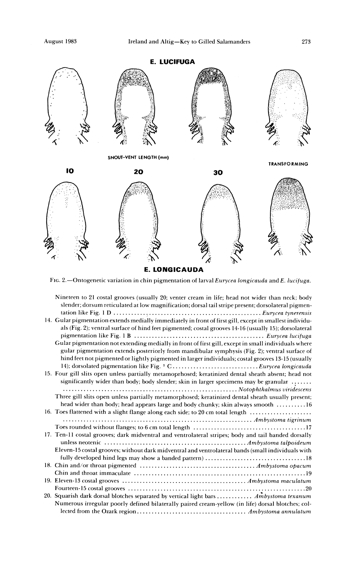

FIG. 2.-Ontogenetic variation in chin pigmentation of larval Eurycea longicauda and E. lucifuga.

| Nineteen to 21 costal grooves (usually 20; venter cream in life; head not wider than neck; body<br>slender; dorsum reticulated at low magnification; dorsal tail stripe present; dorsolateral pigmen- |  |
|-------------------------------------------------------------------------------------------------------------------------------------------------------------------------------------------------------|--|
| 14. Gular pigmentation extends medially immediately in front of first gill, except in smallest individu-                                                                                              |  |
| als (Fig. 2); ventral surface of hind feet pigmented; costal grooves 14-16 (usually 15); dorsolateral                                                                                                 |  |
| Gular pigmentation not extending medially in front of first gill, except in small individuals where                                                                                                   |  |
| gular pigmentation extends posteriorly from mandibular symphysis (Fig. 2); ventral surface of                                                                                                         |  |
| hind feet not pigmented or lightly pigmented in larger individuals; costal grooves 13-15 (usually                                                                                                     |  |
| 14); dorsolated pigmentation like Fig. 1 CEurycea longicauda                                                                                                                                          |  |
| 15. Four gill slits open unless partially metamoprhosed; keratinized dental sheath absent; head not                                                                                                   |  |
| significantly wider than body; body slender; skin in larger specimens may be granular                                                                                                                 |  |
| Three gill slits open unless partially metamorphosed; keratinized dental sheath usually present;                                                                                                      |  |
| head wider than body; head appears large and body chunky; skin always smooth 16                                                                                                                       |  |
| 16. Toes flattened with a slight flange along each side; to 20 cm total length                                                                                                                        |  |
|                                                                                                                                                                                                       |  |
|                                                                                                                                                                                                       |  |
| 17. Ten-11 costal grooves; dark midventral and ventrolateral stripes; body and tail banded dorsally                                                                                                   |  |
|                                                                                                                                                                                                       |  |
| Eleven-15 costal grooves; without dark midventral and ventrolateral bands (small individuals with                                                                                                     |  |
|                                                                                                                                                                                                       |  |
|                                                                                                                                                                                                       |  |
|                                                                                                                                                                                                       |  |
|                                                                                                                                                                                                       |  |
|                                                                                                                                                                                                       |  |
| 20. Squarish dark dorsal blotches separated by vertical light bars  Ambystoma texanum                                                                                                                 |  |
| Numerous irregular poorly defined bilaterally paired cream-yellow (in life) dorsal blotches; col-                                                                                                     |  |
|                                                                                                                                                                                                       |  |
|                                                                                                                                                                                                       |  |